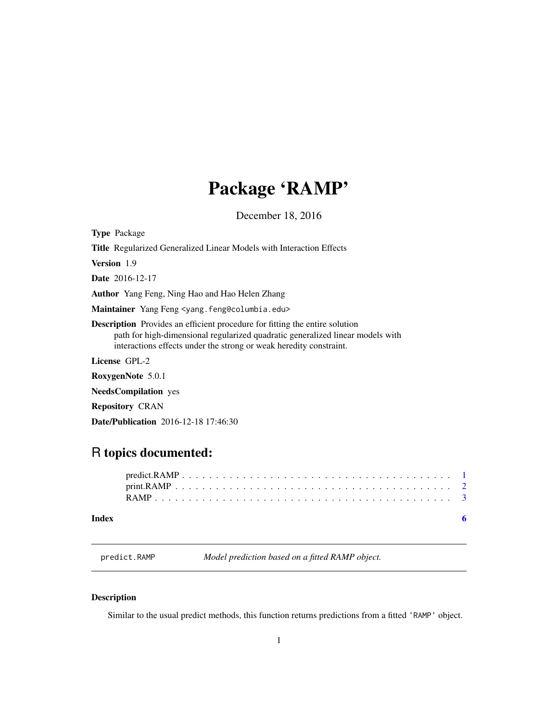# <span id="page-0-0"></span>Package 'RAMP'

December 18, 2016

Type Package

Title Regularized Generalized Linear Models with Interaction Effects

Version 1.9

Date 2016-12-17

Author Yang Feng, Ning Hao and Hao Helen Zhang

Maintainer Yang Feng <yang.feng@columbia.edu>

Description Provides an efficient procedure for fitting the entire solution path for high-dimensional regularized quadratic generalized linear models with interactions effects under the strong or weak heredity constraint.

License GPL-2

RoxygenNote 5.0.1

NeedsCompilation yes

Repository CRAN

Date/Publication 2016-12-18 17:46:30

# R topics documented:

| $predict$ . $RAMP$ . $\ldots$ . $\ldots$ . $\ldots$ . $\ldots$ . $\ldots$ . $\ldots$ . $\ldots$ . $\ldots$ . $\ldots$ . $\ldots$ . $\ldots$ |  |
|---------------------------------------------------------------------------------------------------------------------------------------------|--|
|                                                                                                                                             |  |
|                                                                                                                                             |  |
|                                                                                                                                             |  |

# **Index** [6](#page-5-0) **6**

<span id="page-0-1"></span>predict.RAMP *Model prediction based on a fitted RAMP object.*

# Description

Similar to the usual predict methods, this function returns predictions from a fitted 'RAMP' object.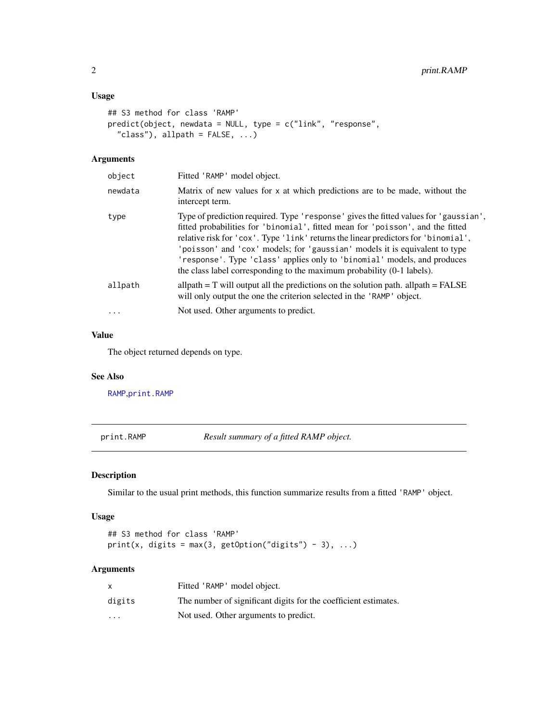# <span id="page-1-0"></span>Usage

```
## S3 method for class 'RAMP'
predict(object, newdata = NULL, type = c("link", "response",
  "class"), allpath = FALSE, ...)
```
# Arguments

| object   | Fitted 'RAMP' model object.                                                                                                                                                                                                                                                                                                                                                                                                                                                                      |
|----------|--------------------------------------------------------------------------------------------------------------------------------------------------------------------------------------------------------------------------------------------------------------------------------------------------------------------------------------------------------------------------------------------------------------------------------------------------------------------------------------------------|
| newdata  | Matrix of new values for x at which predictions are to be made, without the<br>intercept term.                                                                                                                                                                                                                                                                                                                                                                                                   |
| type     | Type of prediction required. Type 'response' gives the fitted values for 'gaussian',<br>fitted probabilities for 'binomial', fitted mean for 'poisson', and the fitted<br>relative risk for 'cox'. Type 'link' returns the linear predictors for 'binomial',<br>'poisson' and 'cox' models; for 'gaussian' models it is equivalent to type<br>'response'. Type 'class' applies only to 'binomial' models, and produces<br>the class label corresponding to the maximum probability (0-1 labels). |
| allpath  | allpath $= T$ will output all the predictions on the solution path. allpath $=$ FALSE<br>will only output the one the criterion selected in the 'RAMP' object.                                                                                                                                                                                                                                                                                                                                   |
| $\cdots$ | Not used. Other arguments to predict.                                                                                                                                                                                                                                                                                                                                                                                                                                                            |
|          |                                                                                                                                                                                                                                                                                                                                                                                                                                                                                                  |

# Value

The object returned depends on type.

# See Also

[RAMP](#page-2-1),[print.RAMP](#page-1-1)

<span id="page-1-1"></span>print.RAMP *Result summary of a fitted RAMP object.*

# Description

Similar to the usual print methods, this function summarize results from a fitted 'RAMP' object.

# Usage

```
## S3 method for class 'RAMP'
print(x, digits = max(3, getOption("digits") - 3), ...)
```
# Arguments

|          | Fitted 'RAMP' model object.                                     |
|----------|-----------------------------------------------------------------|
| digits   | The number of significant digits for the coefficient estimates. |
| $\cdots$ | Not used. Other arguments to predict.                           |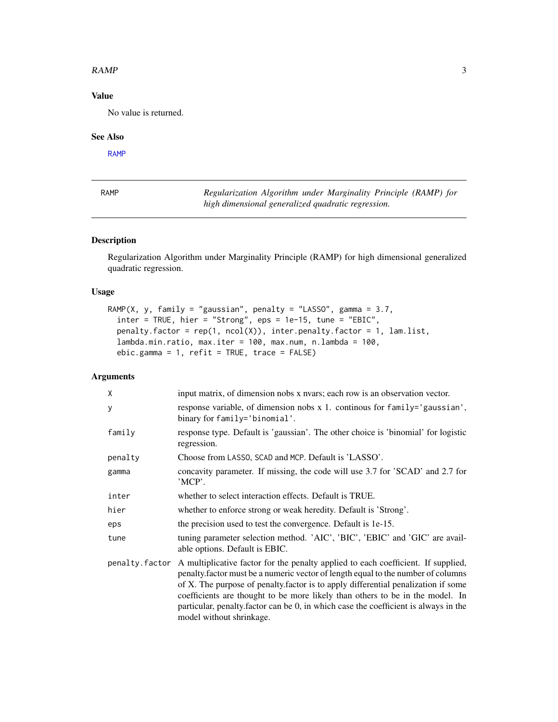### <span id="page-2-0"></span> $RAMP$  3

# Value

No value is returned.

## See Also

[RAMP](#page-2-1)

<span id="page-2-1"></span>

|--|--|

 $Regularization$  *Algorithm under Marginality Principle (RAMP) for high dimensional generalized quadratic regression.*

# Description

Regularization Algorithm under Marginality Principle (RAMP) for high dimensional generalized quadratic regression.

# Usage

```
RAMP(X, y, family = "gaussian", penalty = "LASSO", gamma = 3.7,
  inter = TRUE, hier = "Strong", eps = 1e-15, tune = "EBIC",
 penalty.factor = rep(1, neol(X)), inter.penalty.factor = 1, lam.list,
  lambda.min.ratio, max.iter = 100, max.num, n.lambda = 100,
  ebic.gamma = 1, refit = TRUE, trace = FALSE)
```
# Arguments

| X              | input matrix, of dimension nobs x nvars; each row is an observation vector.                                                                                                                                                                                                                                                                                                                                                                                    |
|----------------|----------------------------------------------------------------------------------------------------------------------------------------------------------------------------------------------------------------------------------------------------------------------------------------------------------------------------------------------------------------------------------------------------------------------------------------------------------------|
| У              | response variable, of dimension nobs x 1. continous for family='gaussian',<br>binary for family='binomial'.                                                                                                                                                                                                                                                                                                                                                    |
| family         | response type. Default is 'gaussian'. The other choice is 'binomial' for logistic<br>regression.                                                                                                                                                                                                                                                                                                                                                               |
| penalty        | Choose from LASSO, SCAD and MCP. Default is 'LASSO'.                                                                                                                                                                                                                                                                                                                                                                                                           |
| gamma          | concavity parameter. If missing, the code will use 3.7 for 'SCAD' and 2.7 for<br>'MCP'.                                                                                                                                                                                                                                                                                                                                                                        |
| inter          | whether to select interaction effects. Default is TRUE.                                                                                                                                                                                                                                                                                                                                                                                                        |
| hier           | whether to enforce strong or weak heredity. Default is 'Strong'.                                                                                                                                                                                                                                                                                                                                                                                               |
| eps            | the precision used to test the convergence. Default is 1e-15.                                                                                                                                                                                                                                                                                                                                                                                                  |
| tune           | tuning parameter selection method. 'AIC', 'BIC', 'EBIC' and 'GIC' are avail-<br>able options. Default is EBIC.                                                                                                                                                                                                                                                                                                                                                 |
| penalty.factor | A multiplicative factor for the penalty applied to each coefficient. If supplied,<br>penalty.factor must be a numeric vector of length equal to the number of columns<br>of X. The purpose of penalty factor is to apply differential penalization if some<br>coefficients are thought to be more likely than others to be in the model. In<br>particular, penalty factor can be 0, in which case the coefficient is always in the<br>model without shrinkage. |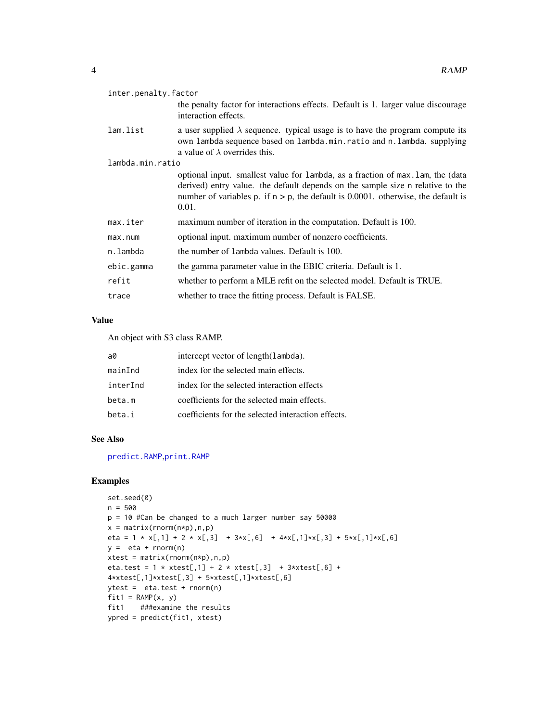<span id="page-3-0"></span>

| inter.penalty.factor |                                                                                                                                                                                                                                                                    |  |
|----------------------|--------------------------------------------------------------------------------------------------------------------------------------------------------------------------------------------------------------------------------------------------------------------|--|
|                      | the penalty factor for interactions effects. Default is 1. larger value discourage<br>interaction effects.                                                                                                                                                         |  |
| lam.list             | a user supplied $\lambda$ sequence. typical usage is to have the program compute its<br>own lambda sequence based on lambda.min.ratio and n.lambda. supplying<br>a value of $\lambda$ overrides this.                                                              |  |
| lambda.min.ratio     |                                                                                                                                                                                                                                                                    |  |
|                      | optional input. smallest value for lambda, as a fraction of max. Lam, the (data<br>derived) entry value. the default depends on the sample size n relative to the<br>number of variables p. if $n > p$ , the default is 0.0001. otherwise, the default is<br>0.01. |  |
| max.iter             | maximum number of iteration in the computation. Default is 100.                                                                                                                                                                                                    |  |
| max.num              | optional input. maximum number of nonzero coefficients.                                                                                                                                                                                                            |  |
| n.lambda             | the number of lambda values. Default is 100.                                                                                                                                                                                                                       |  |
| ebic.gamma           | the gamma parameter value in the EBIC criteria. Default is 1.                                                                                                                                                                                                      |  |
| refit                | whether to perform a MLE refit on the selected model. Default is TRUE.                                                                                                                                                                                             |  |
| trace                | whether to trace the fitting process. Default is FALSE.                                                                                                                                                                                                            |  |
|                      |                                                                                                                                                                                                                                                                    |  |

# Value

An object with S3 class RAMP.

| a0       | intercept vector of length (lambda).               |
|----------|----------------------------------------------------|
| mainInd  | index for the selected main effects.               |
| interInd | index for the selected interaction effects         |
| beta.m   | coefficients for the selected main effects.        |
| beta.i   | coefficients for the selected interaction effects. |

# See Also

[predict.RAMP](#page-0-1),[print.RAMP](#page-1-1)

# Examples

```
set.seed(0)
n = 500
p = 10 #Can be changed to a much larger number say 50000
x = matrix(rnorm(n*p),n,p)eta = 1 * x[,1] + 2 * x[,3] + 3*x[,6] + 4*x[,1]*x[,3] + 5*x[,1]*x[,6]
y = eta + rnorm(n)xtest = matrix(rnorm(n*p),n,p)eta.test = 1 * xtest[, 1] + 2 * xtest[, 3] + 3* xtest[, 6] +4*xtest[,1]*xtest[,3] + 5*xtest[,1]*xtest[,6]
ytest = eta.test + rnorm(n)
fit1 = RAMP(x, y)fit1 ###examine the results
ypred = predict(fit1, xtest)
```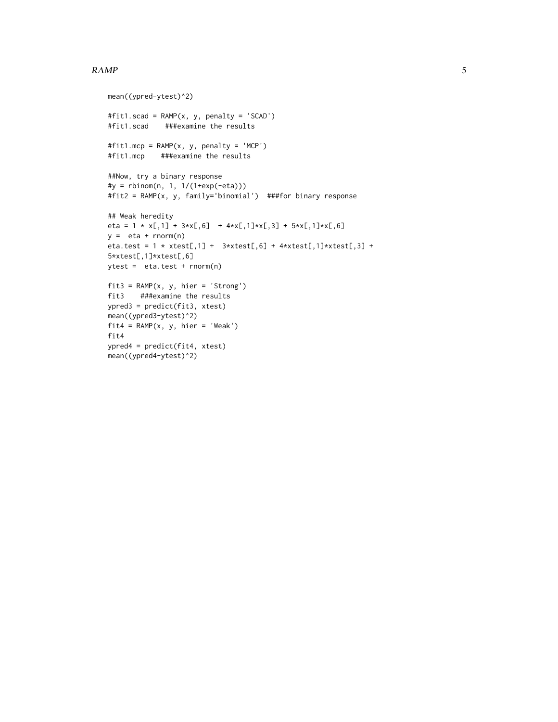### $RAMP$  5

```
mean((ypred-ytest)^2)
#fit1.scad = RAMP(x, y, penalty = 'SCAD')
#fit1.scad ###examine the results
#fit1.mcp = RAMP(x, y, penalty = 'MCP')
#fit1.mcp ###examine the results
##Now, try a binary response
#y = rbinom(n, 1, 1/(1+exp(-eta)))
#fit2 = RAMP(x, y, family='binomial') ###for binary response
## Weak heredity
eta = 1 \times x[,1] + 3 \times x[,6] + 4 \times x[,1] \times x[,3] + 5 \times x[,1] \times x[,6]y = eta + rnorm(n)eta.test = 1 * xtest[,1] + 3* xtest[,6] + 4* xtest[,1]* xtest[,3] +5*xtest[,1]*xtest[,6]
ytest = eta.test + rnorm(n)
fit3 = RAMP(x, y, hier = 'Strong')fit3 ###examine the results
ypred3 = predict(fit3, xtest)
mean((ypred3-ytest)^2)
fit4 = RAMP(x, y, hier = 'Weak')fit4
ypred4 = predict(fit4, xtest)
mean((ypred4-ytest)^2)
```